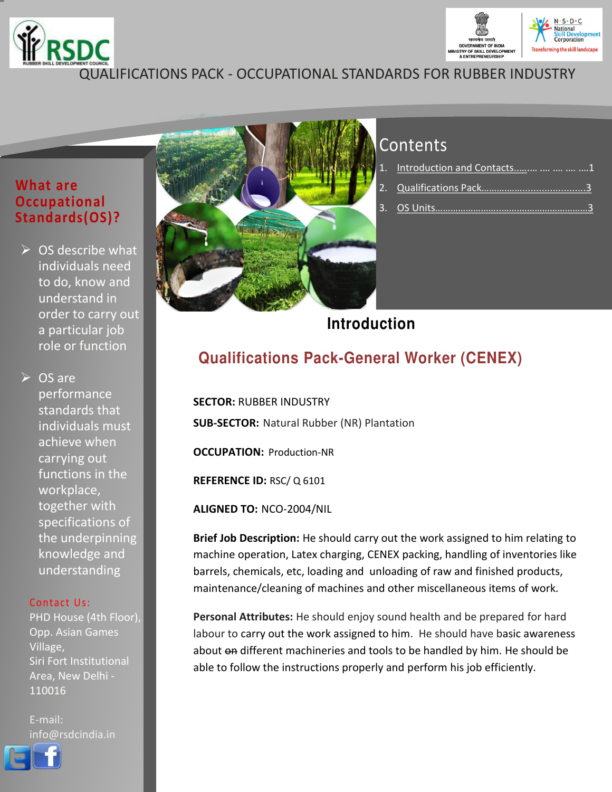



## QUALIFICATIONS PACK - OCCUPATIONAL STANDARDS FOR RUBBER INDUSTRY

### **What are Occupational Standards(OS)?**

 $\triangleright$  OS describe what individuals need to do, know and understand in order to carry out a particular job role or function

**► OS are** performance standards that individuals must achieve when carrying out functions in the workplace, together with specifications of the underpinning knowledge and understanding

#### Contact Us:

PHD House (4th Floor), Opp. Asian Games Village, Siri Fort Institutional Area, New Delhi - 110016

E-mail: info@rsdcindia.in





# **Contents**

| 1. Introduction and Contacts    21 |
|------------------------------------|
|                                    |
|                                    |

## **Introduction**

# **Qualifications Pack-General Worker (CENEX)**

**SECTOR:** RUBBER INDUSTRY **SUB-SECTOR:** Natural Rubber (NR) Plantation

**OCCUPATION:** Production-NR

**REFERENCE ID:** RSC/ Q 6101

**ALIGNED TO:** NCO-2004/NIL

**Brief Job Description:** He should carry out the work assigned to him relating to machine operation, Latex charging, CENEX packing, handling of inventories like barrels, chemicals, etc, loading and unloading of raw and finished products, maintenance/cleaning of machines and other miscellaneous items of work.

**Personal Attributes:** He should enjoy sound health and be prepared for hard labour to carry out the work assigned to him. He should have basic awareness about on different machineries and tools to be handled by him. He should be able to follow the instructions properly and perform his job efficiently.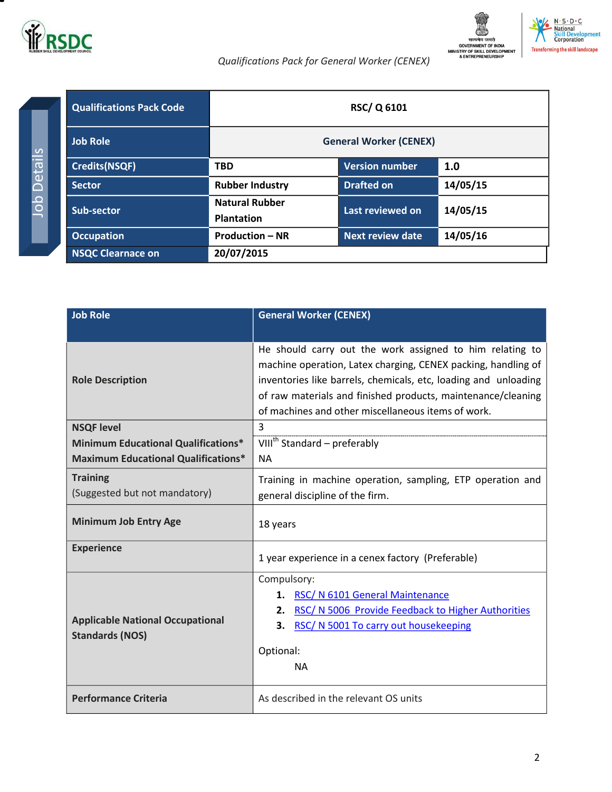



### *Qualifications Pack for General Worker (CENEX)*

<span id="page-1-0"></span>

| <b>Qualifications Pack Code</b> | <b>RSC/Q6101</b>                           |                               |          |
|---------------------------------|--------------------------------------------|-------------------------------|----------|
| <b>Job Role</b>                 |                                            | <b>General Worker (CENEX)</b> |          |
| <b>Credits(NSQF)</b>            | <b>TBD</b>                                 | <b>Version number</b>         | 1.0      |
| <b>Sector</b>                   | <b>Rubber Industry</b>                     | <b>Drafted on</b>             | 14/05/15 |
| <b>Sub-sector</b>               | <b>Natural Rubber</b><br><b>Plantation</b> | Last reviewed on              | 14/05/15 |
| <b>Occupation</b>               | <b>Production - NR</b>                     | <b>Next review date</b>       | 14/05/16 |
| <b>NSQC Clearnace on</b>        | 20/07/2015                                 |                               |          |

| <b>Job Role</b>                                                   | <b>General Worker (CENEX)</b>                                                                                                                                                                                                                                                                                      |  |
|-------------------------------------------------------------------|--------------------------------------------------------------------------------------------------------------------------------------------------------------------------------------------------------------------------------------------------------------------------------------------------------------------|--|
|                                                                   |                                                                                                                                                                                                                                                                                                                    |  |
| <b>Role Description</b>                                           | He should carry out the work assigned to him relating to<br>machine operation, Latex charging, CENEX packing, handling of<br>inventories like barrels, chemicals, etc, loading and unloading<br>of raw materials and finished products, maintenance/cleaning<br>of machines and other miscellaneous items of work. |  |
| <b>NSQF level</b>                                                 | 3                                                                                                                                                                                                                                                                                                                  |  |
| <b>Minimum Educational Qualifications*</b>                        | VIII <sup>th</sup> Standard – preferably                                                                                                                                                                                                                                                                           |  |
| <b>Maximum Educational Qualifications*</b>                        | <b>NA</b>                                                                                                                                                                                                                                                                                                          |  |
| <b>Training</b>                                                   | Training in machine operation, sampling, ETP operation and                                                                                                                                                                                                                                                         |  |
| (Suggested but not mandatory)                                     | general discipline of the firm.                                                                                                                                                                                                                                                                                    |  |
| <b>Minimum Job Entry Age</b>                                      | 18 years                                                                                                                                                                                                                                                                                                           |  |
| <b>Experience</b>                                                 | 1 year experience in a cenex factory (Preferable)                                                                                                                                                                                                                                                                  |  |
|                                                                   | Compulsory:                                                                                                                                                                                                                                                                                                        |  |
|                                                                   | RSC/ N 6101 General Maintenance<br>1.                                                                                                                                                                                                                                                                              |  |
|                                                                   | RSC/ N 5006 Provide Feedback to Higher Authorities<br>2.                                                                                                                                                                                                                                                           |  |
| <b>Applicable National Occupational</b><br><b>Standards (NOS)</b> | RSC/ N 5001 To carry out housekeeping<br>3.                                                                                                                                                                                                                                                                        |  |
|                                                                   | Optional:                                                                                                                                                                                                                                                                                                          |  |
|                                                                   | <b>NA</b>                                                                                                                                                                                                                                                                                                          |  |
|                                                                   |                                                                                                                                                                                                                                                                                                                    |  |
| <b>Performance Criteria</b>                                       | As described in the relevant OS units                                                                                                                                                                                                                                                                              |  |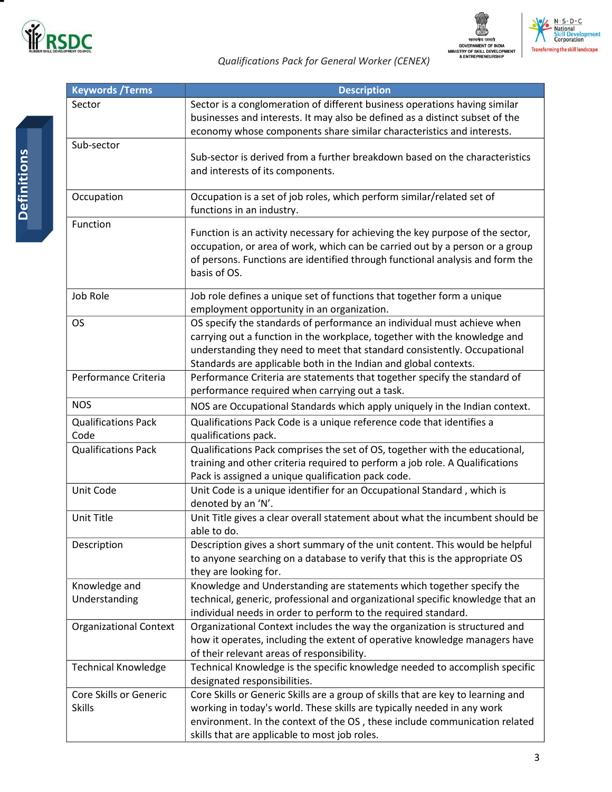





### *Qualifications Pack for General Worker (CENEX)*

| <b>Keywords / Terms</b>       | <b>Description</b>                                                                                                                                       |
|-------------------------------|----------------------------------------------------------------------------------------------------------------------------------------------------------|
| Sector                        | Sector is a conglomeration of different business operations having similar                                                                               |
|                               | businesses and interests. It may also be defined as a distinct subset of the                                                                             |
|                               | economy whose components share similar characteristics and interests.                                                                                    |
| Sub-sector                    |                                                                                                                                                          |
|                               | Sub-sector is derived from a further breakdown based on the characteristics                                                                              |
|                               | and interests of its components.                                                                                                                         |
|                               |                                                                                                                                                          |
| Occupation                    | Occupation is a set of job roles, which perform similar/related set of                                                                                   |
|                               | functions in an industry.                                                                                                                                |
| Function                      | Function is an activity necessary for achieving the key purpose of the sector,                                                                           |
|                               | occupation, or area of work, which can be carried out by a person or a group                                                                             |
|                               | of persons. Functions are identified through functional analysis and form the                                                                            |
|                               | basis of OS.                                                                                                                                             |
|                               |                                                                                                                                                          |
| Job Role                      | Job role defines a unique set of functions that together form a unique                                                                                   |
|                               | employment opportunity in an organization.                                                                                                               |
| <b>OS</b>                     | OS specify the standards of performance an individual must achieve when                                                                                  |
|                               | carrying out a function in the workplace, together with the knowledge and                                                                                |
|                               | understanding they need to meet that standard consistently. Occupational                                                                                 |
|                               | Standards are applicable both in the Indian and global contexts.                                                                                         |
| Performance Criteria          | Performance Criteria are statements that together specify the standard of                                                                                |
|                               | performance required when carrying out a task.                                                                                                           |
| <b>NOS</b>                    | NOS are Occupational Standards which apply uniquely in the Indian context.                                                                               |
| <b>Qualifications Pack</b>    | Qualifications Pack Code is a unique reference code that identifies a                                                                                    |
| Code                          | qualifications pack.                                                                                                                                     |
| <b>Qualifications Pack</b>    | Qualifications Pack comprises the set of OS, together with the educational,                                                                              |
|                               | training and other criteria required to perform a job role. A Qualifications                                                                             |
|                               | Pack is assigned a unique qualification pack code.                                                                                                       |
| Unit Code                     | Unit Code is a unique identifier for an Occupational Standard, which is                                                                                  |
|                               | denoted by an 'N'.                                                                                                                                       |
| Unit Title                    | Unit Title gives a clear overall statement about what the incumbent should be                                                                            |
|                               | able to do.                                                                                                                                              |
| Description                   | Description gives a short summary of the unit content. This would be helpful                                                                             |
|                               | to anyone searching on a database to verify that this is the appropriate OS                                                                              |
|                               | they are looking for.                                                                                                                                    |
| Knowledge and                 | Knowledge and Understanding are statements which together specify the                                                                                    |
| Understanding                 | technical, generic, professional and organizational specific knowledge that an                                                                           |
| <b>Organizational Context</b> | individual needs in order to perform to the required standard.                                                                                           |
|                               | Organizational Context includes the way the organization is structured and<br>how it operates, including the extent of operative knowledge managers have |
|                               | of their relevant areas of responsibility.                                                                                                               |
| <b>Technical Knowledge</b>    | Technical Knowledge is the specific knowledge needed to accomplish specific                                                                              |
|                               | designated responsibilities.                                                                                                                             |
| Core Skills or Generic        | Core Skills or Generic Skills are a group of skills that are key to learning and                                                                         |
| <b>Skills</b>                 | working in today's world. These skills are typically needed in any work                                                                                  |
|                               | environment. In the context of the OS, these include communication related                                                                               |
|                               | skills that are applicable to most job roles.                                                                                                            |
|                               |                                                                                                                                                          |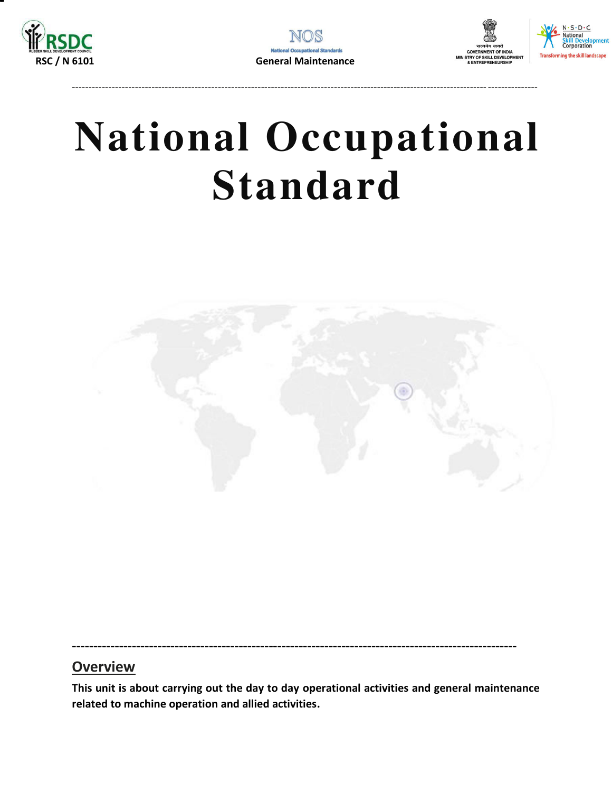

----------------------------------------------------------------------------------------------------------------------------- ---------------



# **National Occupational Standard**

<span id="page-3-0"></span>

### **--------------------------------------------------------------------------------------------------------**

## **Overview**

**This unit is about carrying out the day to day operational activities and general maintenance related to machine operation and allied activities.**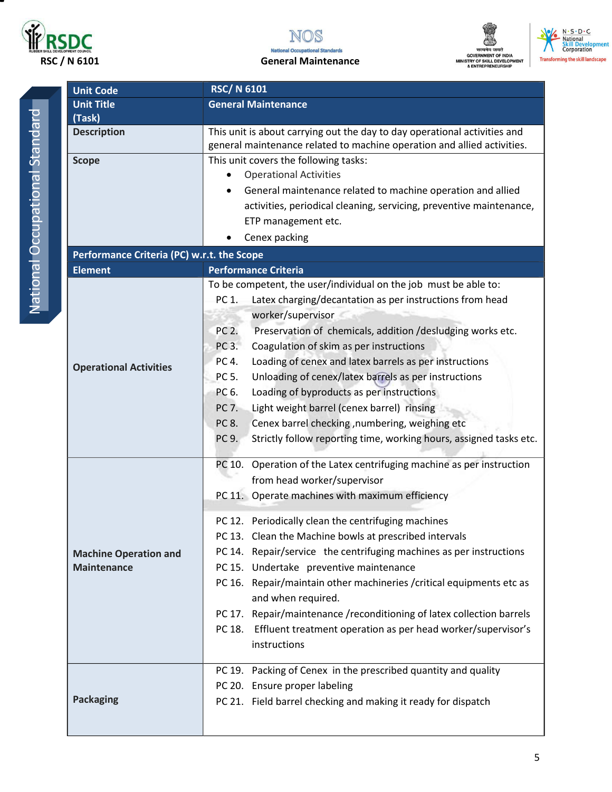





N. S. D. C.<br>National<br>Skill Development<br>Corporation **Transforming the skill landscape** 

| <b>Unit Title</b>                   | Gen  |
|-------------------------------------|------|
| (Task)                              |      |
| <b>Description</b>                  | This |
|                                     | gene |
| <b>Scope</b>                        | This |
|                                     |      |
|                                     |      |
|                                     |      |
|                                     |      |
|                                     |      |
| Performance Criteria (PC) w.r.t. th |      |
| <b>Element</b>                      | Perf |
|                                     | To b |
|                                     | PC   |
|                                     |      |
|                                     | PC   |
|                                     | PC   |
|                                     | PC   |
| <b>Operational Activities</b>       | PC   |
|                                     | PC   |
|                                     | PC   |
|                                     | PC   |
|                                     |      |
|                                     | PC   |
|                                     | PC   |
|                                     |      |
|                                     | PC   |
|                                     |      |
|                                     | PC   |
|                                     | PC   |
| <b>Machine Operation and</b>        | PC   |
| <b>Maintenance</b>                  | PC   |
|                                     | PC   |
|                                     |      |
|                                     |      |
|                                     | PC   |

Unit Code RSC/ N 6101

| <b>Unit Title</b>                          | <b>General Maintenance</b>                                                                                                                           |  |  |
|--------------------------------------------|------------------------------------------------------------------------------------------------------------------------------------------------------|--|--|
| (Task)                                     |                                                                                                                                                      |  |  |
| <b>Description</b>                         | This unit is about carrying out the day to day operational activities and<br>general maintenance related to machine operation and allied activities. |  |  |
| <b>Scope</b>                               | This unit covers the following tasks:                                                                                                                |  |  |
|                                            | <b>Operational Activities</b>                                                                                                                        |  |  |
|                                            | General maintenance related to machine operation and allied                                                                                          |  |  |
|                                            | activities, periodical cleaning, servicing, preventive maintenance,                                                                                  |  |  |
|                                            | ETP management etc.                                                                                                                                  |  |  |
|                                            | Cenex packing                                                                                                                                        |  |  |
| Performance Criteria (PC) w.r.t. the Scope |                                                                                                                                                      |  |  |
| <b>Element</b>                             | <b>Performance Criteria</b>                                                                                                                          |  |  |
|                                            | To be competent, the user/individual on the job must be able to:                                                                                     |  |  |
|                                            | PC 1.<br>Latex charging/decantation as per instructions from head                                                                                    |  |  |
|                                            | worker/supervisor                                                                                                                                    |  |  |
|                                            | PC 2.<br>Preservation of chemicals, addition /desludging works etc.                                                                                  |  |  |
|                                            | Coagulation of skim as per instructions<br>PC 3.                                                                                                     |  |  |
| <b>Operational Activities</b>              | PC 4.<br>Loading of cenex and latex barrels as per instructions                                                                                      |  |  |
|                                            | PC 5.<br>Unloading of cenex/latex barrels as per instructions                                                                                        |  |  |
|                                            | PC 6.<br>Loading of byproducts as per instructions                                                                                                   |  |  |
|                                            | PC 7.<br>Light weight barrel (cenex barrel) rinsing                                                                                                  |  |  |
|                                            | PC 8.<br>Cenex barrel checking , numbering, weighing etc                                                                                             |  |  |
|                                            | PC 9.<br>Strictly follow reporting time, working hours, assigned tasks etc.                                                                          |  |  |
|                                            | PC 10. Operation of the Latex centrifuging machine as per instruction                                                                                |  |  |
|                                            | from head worker/supervisor                                                                                                                          |  |  |
|                                            | PC 11. Operate machines with maximum efficiency                                                                                                      |  |  |
|                                            | PC 12. Periodically clean the centrifuging machines                                                                                                  |  |  |
|                                            | PC 13. Clean the Machine bowls at prescribed intervals                                                                                               |  |  |
| <b>Machine Operation and</b>               | PC 14. Repair/service the centrifuging machines as per instructions                                                                                  |  |  |
| <b>Maintenance</b>                         | PC 15. Undertake preventive maintenance                                                                                                              |  |  |
|                                            | PC 16. Repair/maintain other machineries / critical equipments etc as<br>and when required.                                                          |  |  |
|                                            | PC 17. Repair/maintenance/reconditioning of latex collection barrels                                                                                 |  |  |
|                                            | PC 18. Effluent treatment operation as per head worker/supervisor's                                                                                  |  |  |
|                                            | instructions                                                                                                                                         |  |  |
|                                            | PC 19. Packing of Cenex in the prescribed quantity and quality                                                                                       |  |  |
|                                            | PC 20. Ensure proper labeling                                                                                                                        |  |  |
| <b>Packaging</b>                           | PC 21. Field barrel checking and making it ready for dispatch                                                                                        |  |  |
|                                            |                                                                                                                                                      |  |  |
|                                            |                                                                                                                                                      |  |  |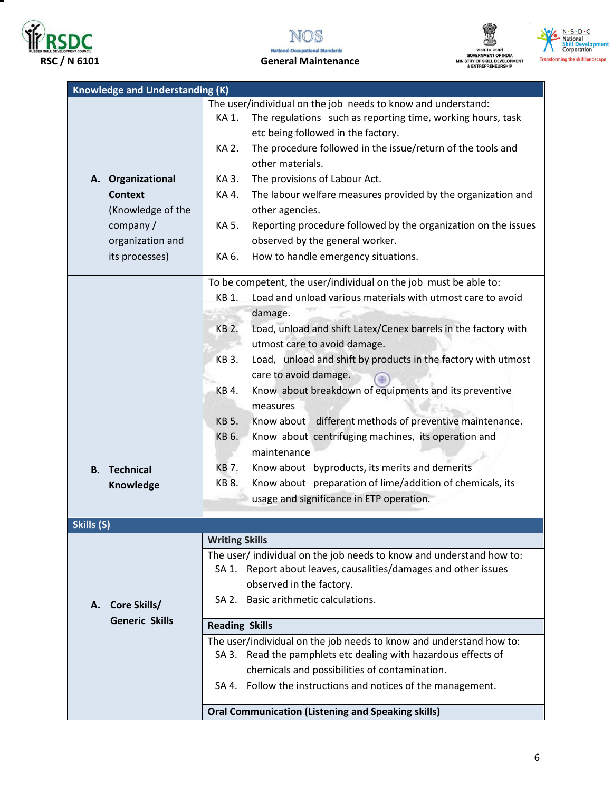

▀







| <b>Knowledge and Understanding (K)</b> |                                                                                |
|----------------------------------------|--------------------------------------------------------------------------------|
|                                        | The user/individual on the job needs to know and understand:                   |
|                                        | The regulations such as reporting time, working hours, task<br>KA 1.           |
|                                        | etc being followed in the factory.                                             |
|                                        | The procedure followed in the issue/return of the tools and<br>KA 2.           |
|                                        | other materials.                                                               |
| A. Organizational                      | The provisions of Labour Act.<br>KA 3.                                         |
| <b>Context</b>                         | The labour welfare measures provided by the organization and<br>KA 4.          |
| (Knowledge of the                      | other agencies.                                                                |
| company /                              | Reporting procedure followed by the organization on the issues<br>KA 5.        |
| organization and                       | observed by the general worker.                                                |
| its processes)                         | How to handle emergency situations.<br>KA 6.                                   |
|                                        | To be competent, the user/individual on the job must be able to:               |
|                                        | Load and unload various materials with utmost care to avoid<br>KB 1.           |
|                                        | damage.                                                                        |
|                                        | <b>KB 2.</b><br>Load, unload and shift Latex/Cenex barrels in the factory with |
|                                        | utmost care to avoid damage.                                                   |
|                                        | Load, unload and shift by products in the factory with utmost<br><b>KB3.</b>   |
|                                        | care to avoid damage.                                                          |
|                                        | Know about breakdown of equipments and its preventive<br>KB 4.                 |
|                                        | measures                                                                       |
|                                        | Know about different methods of preventive maintenance.<br><b>KB 5.</b>        |
|                                        | Know about centrifuging machines, its operation and<br>KB 6.                   |
|                                        | maintenance                                                                    |
| <b>B.</b> Technical                    | Know about byproducts, its merits and demerits<br>KB 7.                        |
| Knowledge                              | Know about preparation of lime/addition of chemicals, its<br>KB 8.             |
|                                        | usage and significance in ETP operation.                                       |
|                                        |                                                                                |
| Skills (S)                             | <b>Writing Skills</b>                                                          |
|                                        | The user/individual on the job needs to know and understand how to:            |
|                                        | SA 1. Report about leaves, causalities/damages and other issues                |
|                                        | observed in the factory.                                                       |
| <b>Core Skills/</b><br>А.              | SA 2. Basic arithmetic calculations.                                           |
| <b>Generic Skills</b>                  |                                                                                |
|                                        | <b>Reading Skills</b>                                                          |
|                                        | The user/individual on the job needs to know and understand how to:            |
|                                        | SA 3. Read the pamphlets etc dealing with hazardous effects of                 |
|                                        | chemicals and possibilities of contamination.                                  |
|                                        | SA 4. Follow the instructions and notices of the management.                   |
|                                        | <b>Oral Communication (Listening and Speaking skills)</b>                      |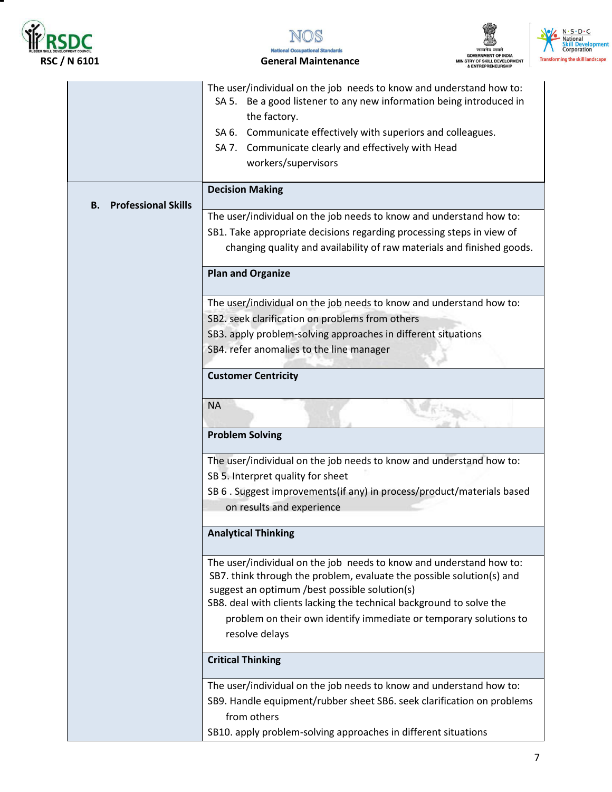

т







|                                  | The user/individual on the job needs to know and understand how to:<br>SA 5. Be a good listener to any new information being introduced in<br>the factory.<br>SA 6. Communicate effectively with superiors and colleagues.<br>SA 7. Communicate clearly and effectively with Head<br>workers/supervisors                                   |
|----------------------------------|--------------------------------------------------------------------------------------------------------------------------------------------------------------------------------------------------------------------------------------------------------------------------------------------------------------------------------------------|
|                                  | <b>Decision Making</b>                                                                                                                                                                                                                                                                                                                     |
| <b>Professional Skills</b><br>В. |                                                                                                                                                                                                                                                                                                                                            |
|                                  | The user/individual on the job needs to know and understand how to:                                                                                                                                                                                                                                                                        |
|                                  | SB1. Take appropriate decisions regarding processing steps in view of                                                                                                                                                                                                                                                                      |
|                                  | changing quality and availability of raw materials and finished goods.                                                                                                                                                                                                                                                                     |
|                                  | <b>Plan and Organize</b>                                                                                                                                                                                                                                                                                                                   |
|                                  | The user/individual on the job needs to know and understand how to:                                                                                                                                                                                                                                                                        |
|                                  | SB2. seek clarification on problems from others                                                                                                                                                                                                                                                                                            |
|                                  | SB3. apply problem-solving approaches in different situations                                                                                                                                                                                                                                                                              |
|                                  | SB4. refer anomalies to the line manager                                                                                                                                                                                                                                                                                                   |
|                                  | <b>Customer Centricity</b>                                                                                                                                                                                                                                                                                                                 |
|                                  | <b>NA</b>                                                                                                                                                                                                                                                                                                                                  |
|                                  | <b>Problem Solving</b>                                                                                                                                                                                                                                                                                                                     |
|                                  | The user/individual on the job needs to know and understand how to:                                                                                                                                                                                                                                                                        |
|                                  | SB 5. Interpret quality for sheet                                                                                                                                                                                                                                                                                                          |
|                                  | SB 6. Suggest improvements (if any) in process/product/materials based<br>on results and experience                                                                                                                                                                                                                                        |
|                                  | <b>Analytical Thinking</b>                                                                                                                                                                                                                                                                                                                 |
|                                  | The user/individual on the job needs to know and understand how to:<br>SB7. think through the problem, evaluate the possible solution(s) and<br>suggest an optimum /best possible solution(s)<br>SB8. deal with clients lacking the technical background to solve the<br>problem on their own identify immediate or temporary solutions to |
|                                  | resolve delays                                                                                                                                                                                                                                                                                                                             |
|                                  | <b>Critical Thinking</b>                                                                                                                                                                                                                                                                                                                   |
|                                  | The user/individual on the job needs to know and understand how to:                                                                                                                                                                                                                                                                        |
|                                  | SB9. Handle equipment/rubber sheet SB6. seek clarification on problems<br>from others                                                                                                                                                                                                                                                      |
|                                  | SB10. apply problem-solving approaches in different situations                                                                                                                                                                                                                                                                             |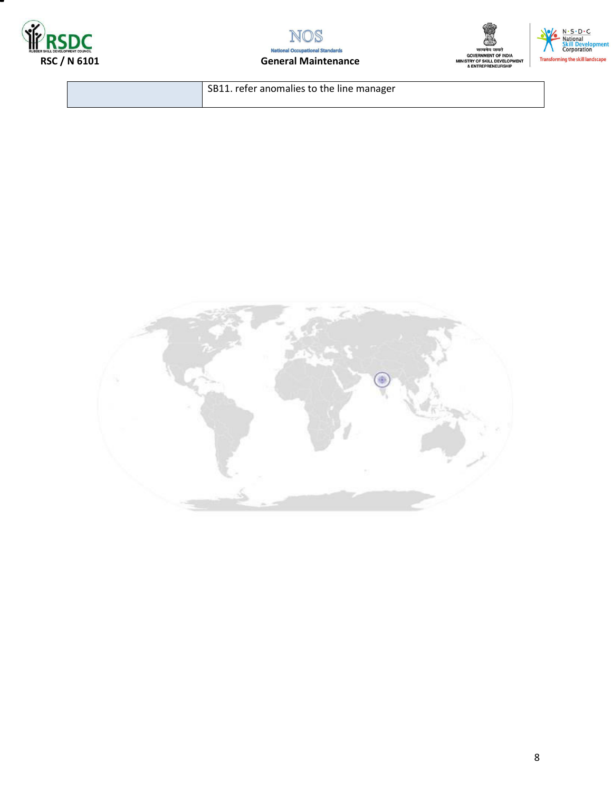







SB11. refer anomalies to the line manager

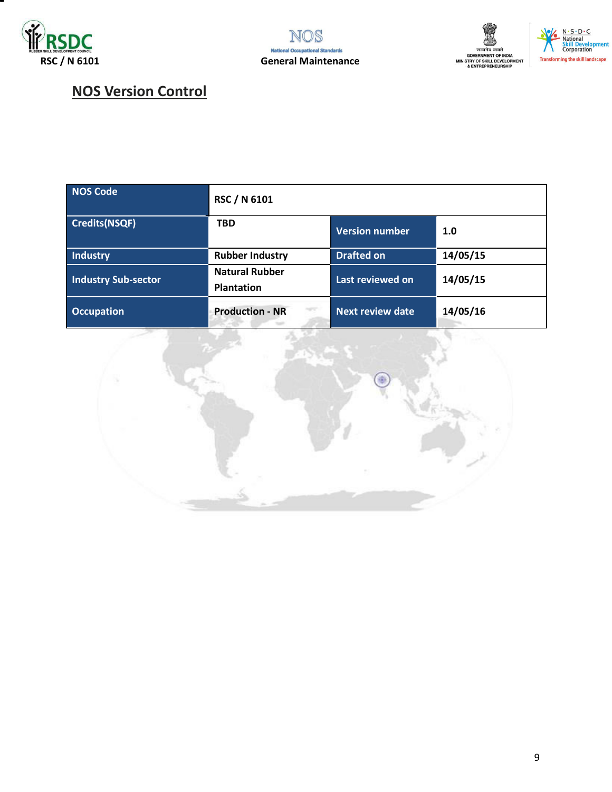





## **NOS Version Control**

| <b>NOS Code</b>            | RSC / N 6101                               |                         |          |
|----------------------------|--------------------------------------------|-------------------------|----------|
| <b>Credits(NSQF)</b>       | <b>TBD</b>                                 | Version number          | 1.0      |
| Industry                   | <b>Rubber Industry</b>                     | <b>Drafted on</b>       | 14/05/15 |
| <b>Industry Sub-sector</b> | <b>Natural Rubber</b><br><b>Plantation</b> | Last reviewed on        | 14/05/15 |
| <b>Occupation</b>          | <b>Production - NR</b>                     | <b>Next review date</b> | 14/05/16 |

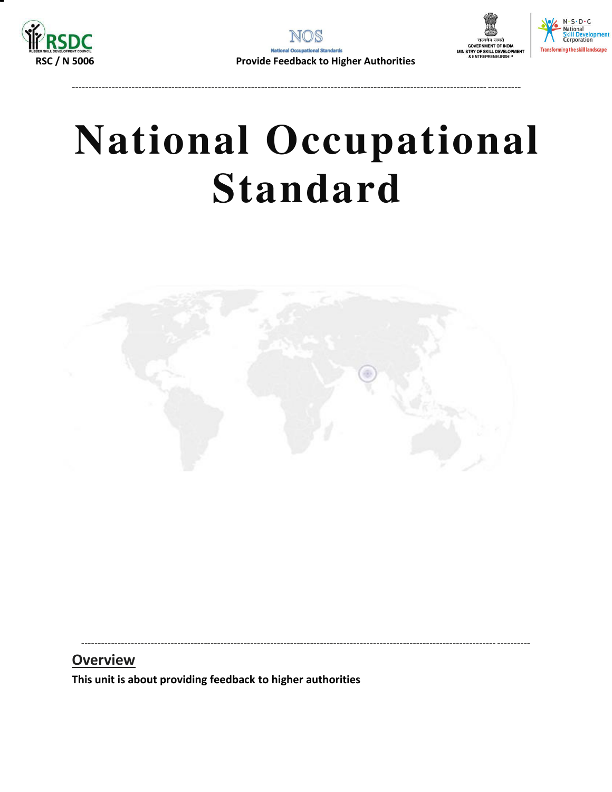



# **National Occupational Standard**

----------------------------------------------------------------------------------------------------------------------------- ----------

<span id="page-9-0"></span>

----------------------------------------------------------------------------------------------------------------------------- ----------

### **Overview**

**This unit is about providing feedback to higher authorities**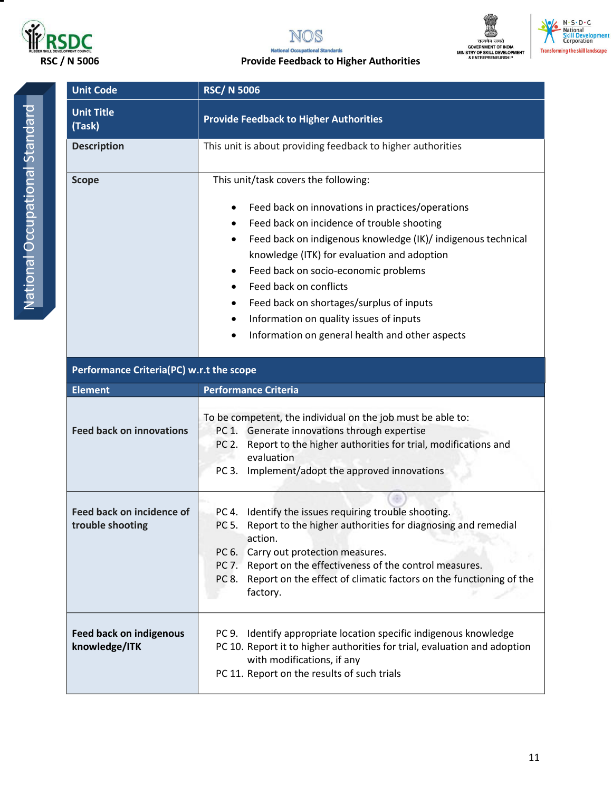



## **RSC / N 5006** Provide Feedback to Higher Authorities



National Occupational Standard National Occupational Standard

| <b>Unit Code</b>                                     | <b>RSC/N 5006</b>                                                                                                                                                                                                                                                                                                                                                                                                                                                                                            |  |  |
|------------------------------------------------------|--------------------------------------------------------------------------------------------------------------------------------------------------------------------------------------------------------------------------------------------------------------------------------------------------------------------------------------------------------------------------------------------------------------------------------------------------------------------------------------------------------------|--|--|
| <b>Unit Title</b><br>(Task)                          | <b>Provide Feedback to Higher Authorities</b>                                                                                                                                                                                                                                                                                                                                                                                                                                                                |  |  |
| <b>Description</b>                                   | This unit is about providing feedback to higher authorities                                                                                                                                                                                                                                                                                                                                                                                                                                                  |  |  |
| <b>Scope</b>                                         | This unit/task covers the following:<br>Feed back on innovations in practices/operations<br>٠<br>Feed back on incidence of trouble shooting<br>٠<br>Feed back on indigenous knowledge (IK)/ indigenous technical<br>٠<br>knowledge (ITK) for evaluation and adoption<br>Feed back on socio-economic problems<br>٠<br>Feed back on conflicts<br>$\bullet$<br>Feed back on shortages/surplus of inputs<br>٠<br>Information on quality issues of inputs<br>٠<br>Information on general health and other aspects |  |  |
| Performance Criteria(PC) w.r.t the scope             |                                                                                                                                                                                                                                                                                                                                                                                                                                                                                                              |  |  |
| <b>Element</b>                                       | <b>Performance Criteria</b>                                                                                                                                                                                                                                                                                                                                                                                                                                                                                  |  |  |
| <b>Feed back on innovations</b>                      | To be competent, the individual on the job must be able to:<br>PC 1. Generate innovations through expertise<br>Report to the higher authorities for trial, modifications and<br>PC 2.<br>evaluation<br>Implement/adopt the approved innovations<br>PC 3.                                                                                                                                                                                                                                                     |  |  |
| <b>Feed back on incidence of</b><br>trouble shooting | PC 4. Identify the issues requiring trouble shooting.<br>PC 5. Report to the higher authorities for diagnosing and remedial<br>action.<br>PC 6. Carry out protection measures.<br>PC 7. Report on the effectiveness of the control measures.<br>Report on the effect of climatic factors on the functioning of the<br>PC 8.<br>factory.                                                                                                                                                                      |  |  |
| <b>Feed back on indigenous</b><br>knowledge/ITK      | PC 9. Identify appropriate location specific indigenous knowledge<br>PC 10. Report it to higher authorities for trial, evaluation and adoption<br>with modifications, if any<br>PC 11. Report on the results of such trials                                                                                                                                                                                                                                                                                  |  |  |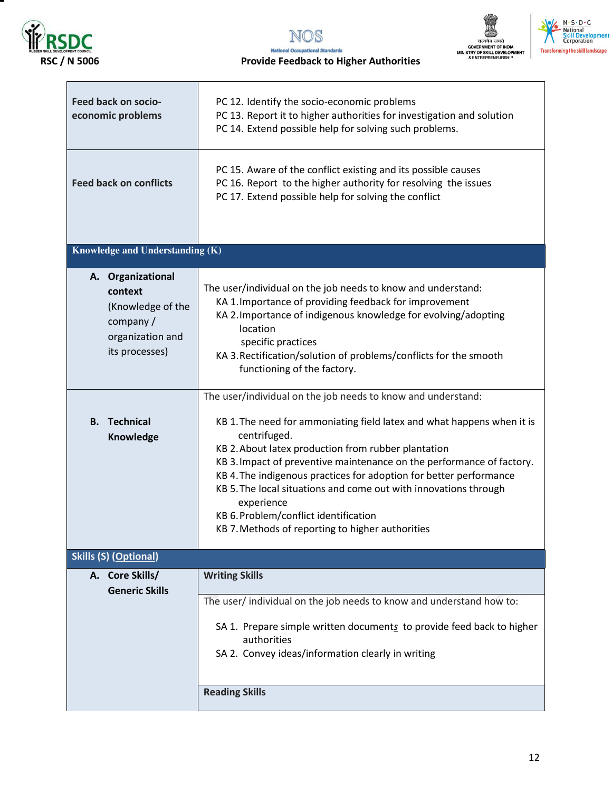





| Feed back on socio-<br>economic problems                                                            | PC 12. Identify the socio-economic problems<br>PC 13. Report it to higher authorities for investigation and solution<br>PC 14. Extend possible help for solving such problems.                                                                                                                                                                                                                                                                                                                                                              |  |
|-----------------------------------------------------------------------------------------------------|---------------------------------------------------------------------------------------------------------------------------------------------------------------------------------------------------------------------------------------------------------------------------------------------------------------------------------------------------------------------------------------------------------------------------------------------------------------------------------------------------------------------------------------------|--|
| <b>Feed back on conflicts</b>                                                                       | PC 15. Aware of the conflict existing and its possible causes<br>PC 16. Report to the higher authority for resolving the issues<br>PC 17. Extend possible help for solving the conflict                                                                                                                                                                                                                                                                                                                                                     |  |
| Knowledge and Understanding (K)                                                                     |                                                                                                                                                                                                                                                                                                                                                                                                                                                                                                                                             |  |
| A. Organizational<br>context<br>(Knowledge of the<br>company/<br>organization and<br>its processes) | The user/individual on the job needs to know and understand:<br>KA 1. Importance of providing feedback for improvement<br>KA 2. Importance of indigenous knowledge for evolving/adopting<br>location<br>specific practices<br>KA 3. Rectification/solution of problems/conflicts for the smooth<br>functioning of the factory.                                                                                                                                                                                                              |  |
| <b>B.</b> Technical<br>Knowledge                                                                    | The user/individual on the job needs to know and understand:<br>KB 1. The need for ammoniating field latex and what happens when it is<br>centrifuged.<br>KB 2. About latex production from rubber plantation<br>KB 3. Impact of preventive maintenance on the performance of factory.<br>KB 4. The indigenous practices for adoption for better performance<br>KB 5. The local situations and come out with innovations through<br>experience<br>KB 6. Problem/conflict identification<br>KB 7. Methods of reporting to higher authorities |  |
| <b>Skills (S) (Optional)</b>                                                                        |                                                                                                                                                                                                                                                                                                                                                                                                                                                                                                                                             |  |
| A. Core Skills/<br><b>Generic Skills</b>                                                            | <b>Writing Skills</b><br>The user/ individual on the job needs to know and understand how to:<br>SA 1. Prepare simple written documents to provide feed back to higher<br>authorities<br>SA 2. Convey ideas/information clearly in writing                                                                                                                                                                                                                                                                                                  |  |
|                                                                                                     | <b>Reading Skills</b>                                                                                                                                                                                                                                                                                                                                                                                                                                                                                                                       |  |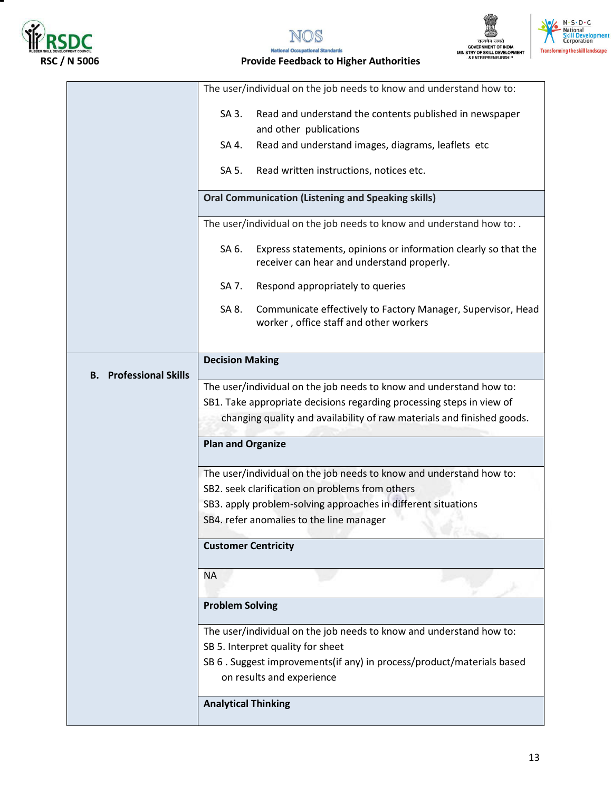





**National Occupational Standards RSC / N 5006 Provide Feedback to Higher Authorities** 

|                                  | The user/individual on the job needs to know and understand how to:                                                    |  |  |
|----------------------------------|------------------------------------------------------------------------------------------------------------------------|--|--|
|                                  | Read and understand the contents published in newspaper<br>SA 3.                                                       |  |  |
|                                  | and other publications                                                                                                 |  |  |
|                                  | Read and understand images, diagrams, leaflets etc<br>SA 4.                                                            |  |  |
|                                  | SA 5.<br>Read written instructions, notices etc.                                                                       |  |  |
|                                  | <b>Oral Communication (Listening and Speaking skills)</b>                                                              |  |  |
|                                  | The user/individual on the job needs to know and understand how to: .                                                  |  |  |
|                                  | SA 6.<br>Express statements, opinions or information clearly so that the<br>receiver can hear and understand properly. |  |  |
|                                  | Respond appropriately to queries<br>SA 7.                                                                              |  |  |
|                                  | Communicate effectively to Factory Manager, Supervisor, Head<br>SA 8.<br>worker, office staff and other workers        |  |  |
|                                  | <b>Decision Making</b>                                                                                                 |  |  |
| <b>Professional Skills</b><br>В. |                                                                                                                        |  |  |
|                                  | The user/individual on the job needs to know and understand how to:                                                    |  |  |
|                                  | SB1. Take appropriate decisions regarding processing steps in view of                                                  |  |  |
|                                  | changing quality and availability of raw materials and finished goods.                                                 |  |  |
|                                  | <b>Plan and Organize</b>                                                                                               |  |  |
|                                  | The user/individual on the job needs to know and understand how to:                                                    |  |  |
|                                  | SB2. seek clarification on problems from others                                                                        |  |  |
|                                  | SB3. apply problem-solving approaches in different situations                                                          |  |  |
|                                  | SB4. refer anomalies to the line manager                                                                               |  |  |
| <b>Customer Centricity</b>       |                                                                                                                        |  |  |
|                                  | <b>NA</b>                                                                                                              |  |  |
|                                  | <b>Problem Solving</b>                                                                                                 |  |  |
|                                  | The user/individual on the job needs to know and understand how to:                                                    |  |  |
|                                  | SB 5. Interpret quality for sheet                                                                                      |  |  |
|                                  | SB 6 . Suggest improvements(if any) in process/product/materials based                                                 |  |  |
|                                  | on results and experience                                                                                              |  |  |
|                                  | <b>Analytical Thinking</b>                                                                                             |  |  |
|                                  |                                                                                                                        |  |  |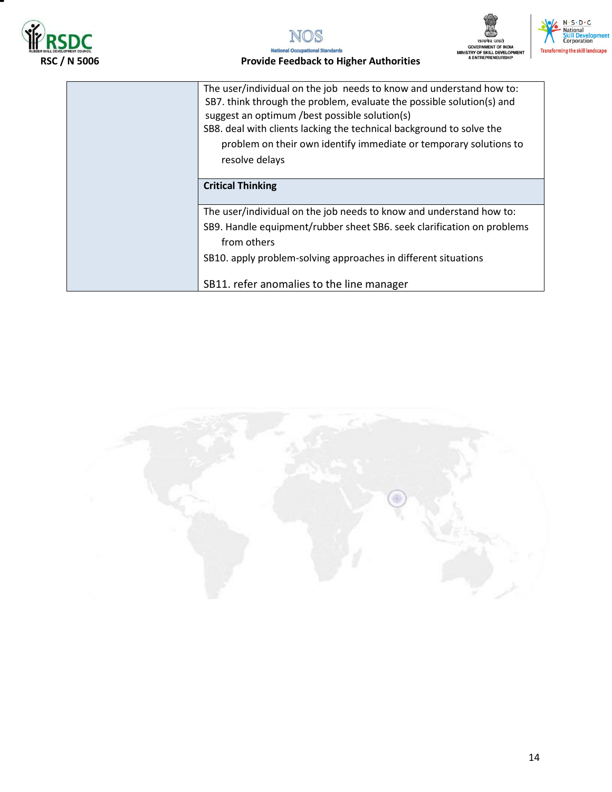





## **RSC / N 5006 Provide Feedback to Higher Authorities**

| The user/individual on the job needs to know and understand how to:<br>SB7. think through the problem, evaluate the possible solution(s) and<br>suggest an optimum /best possible solution(s)<br>SB8. deal with clients lacking the technical background to solve the<br>problem on their own identify immediate or temporary solutions to<br>resolve delays |
|--------------------------------------------------------------------------------------------------------------------------------------------------------------------------------------------------------------------------------------------------------------------------------------------------------------------------------------------------------------|
| <b>Critical Thinking</b>                                                                                                                                                                                                                                                                                                                                     |
| The user/individual on the job needs to know and understand how to:                                                                                                                                                                                                                                                                                          |
| SB9. Handle equipment/rubber sheet SB6. seek clarification on problems<br>from others                                                                                                                                                                                                                                                                        |
| SB10. apply problem-solving approaches in different situations                                                                                                                                                                                                                                                                                               |
| SB11. refer anomalies to the line manager                                                                                                                                                                                                                                                                                                                    |

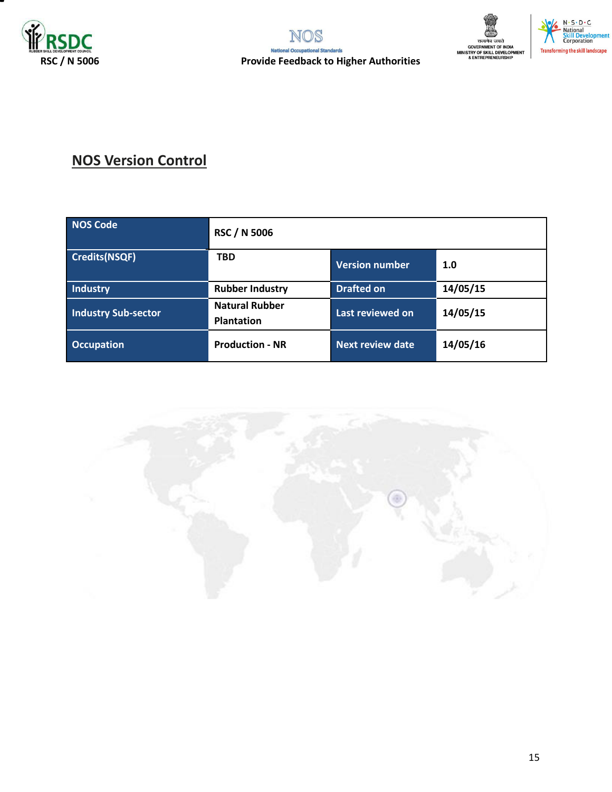





# **NOS Version Control**

| <b>NOS Code</b>            | <b>RSC / N 5006</b>                        |                         |          |
|----------------------------|--------------------------------------------|-------------------------|----------|
| <b>Credits(NSQF)</b>       | <b>TBD</b>                                 | 1.0                     |          |
| <b>Industry</b>            | <b>Rubber Industry</b>                     | <b>Drafted on</b>       | 14/05/15 |
| <b>Industry Sub-sector</b> | <b>Natural Rubber</b><br><b>Plantation</b> | Last reviewed on        | 14/05/15 |
| <b>Occupation</b>          | <b>Production - NR</b>                     | <b>Next review date</b> | 14/05/16 |

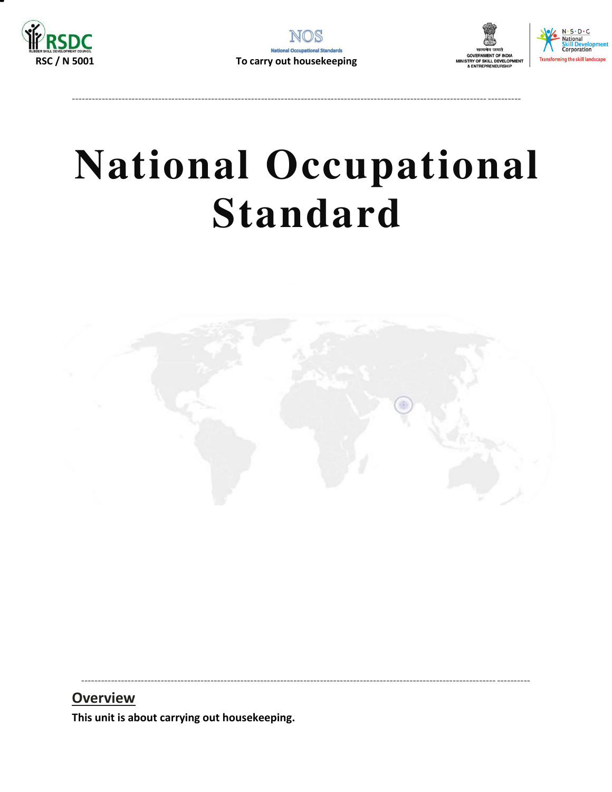





# **National Occupational Standard**

<span id="page-15-0"></span>

## **Overview**

This unit is about carrying out housekeeping.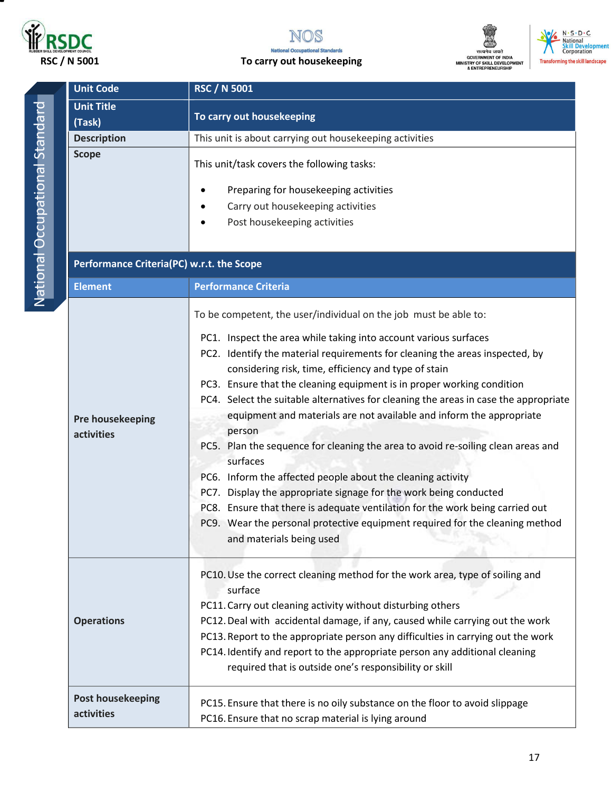







| <b>Unit Code</b>                          | <b>RSC / N 5001</b>                                                                                                                                                                                                                                                                                                                                                                                                                                                                      |  |  |  |
|-------------------------------------------|------------------------------------------------------------------------------------------------------------------------------------------------------------------------------------------------------------------------------------------------------------------------------------------------------------------------------------------------------------------------------------------------------------------------------------------------------------------------------------------|--|--|--|
| <b>Unit Title</b><br>(Task)               | To carry out housekeeping                                                                                                                                                                                                                                                                                                                                                                                                                                                                |  |  |  |
| <b>Description</b>                        | This unit is about carrying out housekeeping activities                                                                                                                                                                                                                                                                                                                                                                                                                                  |  |  |  |
| <b>Scope</b>                              | This unit/task covers the following tasks:<br>Preparing for housekeeping activities                                                                                                                                                                                                                                                                                                                                                                                                      |  |  |  |
|                                           | Carry out housekeeping activities                                                                                                                                                                                                                                                                                                                                                                                                                                                        |  |  |  |
|                                           | Post housekeeping activities                                                                                                                                                                                                                                                                                                                                                                                                                                                             |  |  |  |
| Performance Criteria(PC) w.r.t. the Scope |                                                                                                                                                                                                                                                                                                                                                                                                                                                                                          |  |  |  |
| <b>Element</b>                            | <b>Performance Criteria</b>                                                                                                                                                                                                                                                                                                                                                                                                                                                              |  |  |  |
|                                           | To be competent, the user/individual on the job must be able to:<br>PC1. Inspect the area while taking into account various surfaces                                                                                                                                                                                                                                                                                                                                                     |  |  |  |
| Pre housekeeping<br>activities            | PC2. Identify the material requirements for cleaning the areas inspected, by<br>considering risk, time, efficiency and type of stain<br>PC3. Ensure that the cleaning equipment is in proper working condition<br>PC4. Select the suitable alternatives for cleaning the areas in case the appropriate<br>equipment and materials are not available and inform the appropriate<br>person<br>PC5. Plan the sequence for cleaning the area to avoid re-soiling clean areas and<br>surfaces |  |  |  |
|                                           | PC6. Inform the affected people about the cleaning activity<br>PC7. Display the appropriate signage for the work being conducted<br>PC8. Ensure that there is adequate ventilation for the work being carried out<br>PC9. Wear the personal protective equipment required for the cleaning method<br>and materials being used                                                                                                                                                            |  |  |  |
| <b>Operations</b>                         | PC10. Use the correct cleaning method for the work area, type of soiling and<br>surface<br>PC11. Carry out cleaning activity without disturbing others<br>PC12. Deal with accidental damage, if any, caused while carrying out the work<br>PC13. Report to the appropriate person any difficulties in carrying out the work<br>PC14. Identify and report to the appropriate person any additional cleaning<br>required that is outside one's responsibility or skill                     |  |  |  |
| <b>Post housekeeping</b><br>activities    | PC15. Ensure that there is no oily substance on the floor to avoid slippage<br>PC16. Ensure that no scrap material is lying around                                                                                                                                                                                                                                                                                                                                                       |  |  |  |

17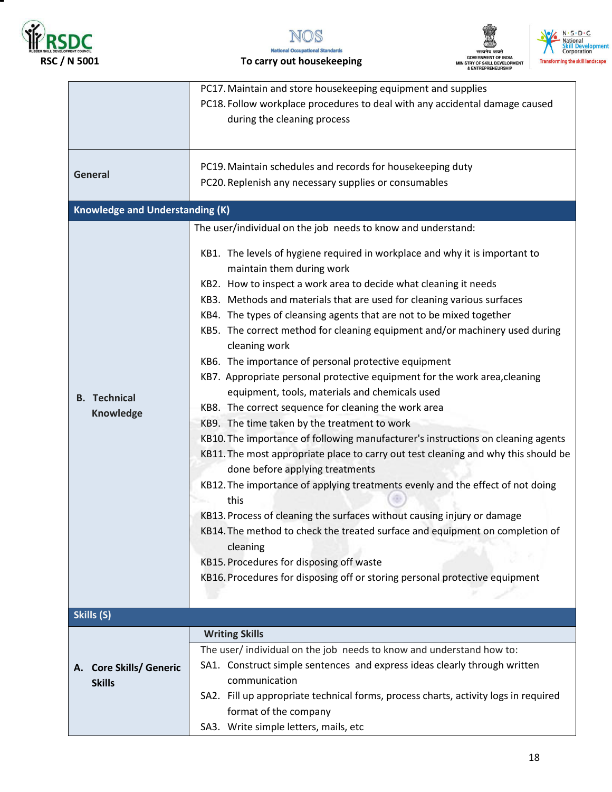







 **RSC / N 5001 To carry out housekeeping** 

|                                                    | PC17. Maintain and store housekeeping equipment and supplies<br>PC18. Follow workplace procedures to deal with any accidental damage caused<br>during the cleaning process                                                                                                                                                                                                                                                                                                                                                                                                                                                                                                                                                                                                                                                                                                                                                                                                                                                                                                                                                                                                                                                                                                                                                              |
|----------------------------------------------------|-----------------------------------------------------------------------------------------------------------------------------------------------------------------------------------------------------------------------------------------------------------------------------------------------------------------------------------------------------------------------------------------------------------------------------------------------------------------------------------------------------------------------------------------------------------------------------------------------------------------------------------------------------------------------------------------------------------------------------------------------------------------------------------------------------------------------------------------------------------------------------------------------------------------------------------------------------------------------------------------------------------------------------------------------------------------------------------------------------------------------------------------------------------------------------------------------------------------------------------------------------------------------------------------------------------------------------------------|
| General                                            | PC19. Maintain schedules and records for housekeeping duty<br>PC20. Replenish any necessary supplies or consumables                                                                                                                                                                                                                                                                                                                                                                                                                                                                                                                                                                                                                                                                                                                                                                                                                                                                                                                                                                                                                                                                                                                                                                                                                     |
| <b>Knowledge and Understanding (K)</b>             |                                                                                                                                                                                                                                                                                                                                                                                                                                                                                                                                                                                                                                                                                                                                                                                                                                                                                                                                                                                                                                                                                                                                                                                                                                                                                                                                         |
|                                                    | The user/individual on the job needs to know and understand:                                                                                                                                                                                                                                                                                                                                                                                                                                                                                                                                                                                                                                                                                                                                                                                                                                                                                                                                                                                                                                                                                                                                                                                                                                                                            |
| <b>B.</b> Technical<br><b>Knowledge</b>            | KB1. The levels of hygiene required in workplace and why it is important to<br>maintain them during work<br>KB2. How to inspect a work area to decide what cleaning it needs<br>KB3. Methods and materials that are used for cleaning various surfaces<br>KB4. The types of cleansing agents that are not to be mixed together<br>KB5. The correct method for cleaning equipment and/or machinery used during<br>cleaning work<br>KB6. The importance of personal protective equipment<br>KB7. Appropriate personal protective equipment for the work area, cleaning<br>equipment, tools, materials and chemicals used<br>KB8. The correct sequence for cleaning the work area<br>KB9. The time taken by the treatment to work<br>KB10. The importance of following manufacturer's instructions on cleaning agents<br>KB11. The most appropriate place to carry out test cleaning and why this should be<br>done before applying treatments<br>KB12. The importance of applying treatments evenly and the effect of not doing<br>this<br>KB13. Process of cleaning the surfaces without causing injury or damage<br>KB14. The method to check the treated surface and equipment on completion of<br>cleaning<br>KB15. Procedures for disposing off waste<br>KB16. Procedures for disposing off or storing personal protective equipment |
| Skills (S)                                         |                                                                                                                                                                                                                                                                                                                                                                                                                                                                                                                                                                                                                                                                                                                                                                                                                                                                                                                                                                                                                                                                                                                                                                                                                                                                                                                                         |
| <b>Core Skills/ Generic</b><br>А.<br><b>Skills</b> | <b>Writing Skills</b><br>The user/ individual on the job needs to know and understand how to:<br>SA1. Construct simple sentences and express ideas clearly through written<br>communication<br>SA2. Fill up appropriate technical forms, process charts, activity logs in required<br>format of the company<br>SA3. Write simple letters, mails, etc                                                                                                                                                                                                                                                                                                                                                                                                                                                                                                                                                                                                                                                                                                                                                                                                                                                                                                                                                                                    |
|                                                    |                                                                                                                                                                                                                                                                                                                                                                                                                                                                                                                                                                                                                                                                                                                                                                                                                                                                                                                                                                                                                                                                                                                                                                                                                                                                                                                                         |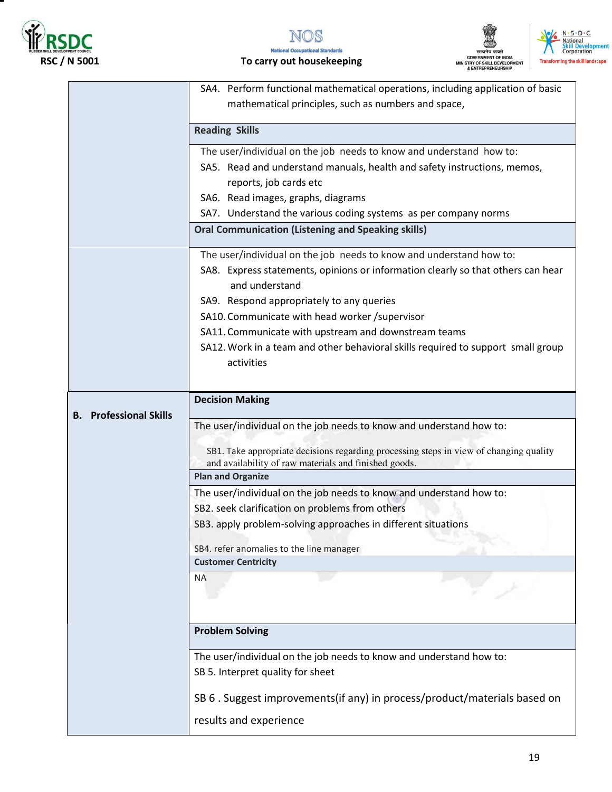







 **RSC / N 5001 To carry out housekeeping** 

|                                  | SA4. Perform functional mathematical operations, including application of basic                                                                 |
|----------------------------------|-------------------------------------------------------------------------------------------------------------------------------------------------|
|                                  | mathematical principles, such as numbers and space,                                                                                             |
|                                  |                                                                                                                                                 |
|                                  | <b>Reading Skills</b>                                                                                                                           |
|                                  | The user/individual on the job needs to know and understand how to:                                                                             |
|                                  | SA5. Read and understand manuals, health and safety instructions, memos,                                                                        |
|                                  | reports, job cards etc                                                                                                                          |
|                                  | SA6. Read images, graphs, diagrams                                                                                                              |
|                                  | SA7. Understand the various coding systems as per company norms                                                                                 |
|                                  | <b>Oral Communication (Listening and Speaking skills)</b>                                                                                       |
|                                  |                                                                                                                                                 |
|                                  | The user/individual on the job needs to know and understand how to:                                                                             |
|                                  | SA8. Express statements, opinions or information clearly so that others can hear<br>and understand                                              |
|                                  | SA9. Respond appropriately to any queries                                                                                                       |
|                                  | SA10. Communicate with head worker /supervisor                                                                                                  |
|                                  | SA11. Communicate with upstream and downstream teams                                                                                            |
|                                  | SA12. Work in a team and other behavioral skills required to support small group                                                                |
|                                  | activities                                                                                                                                      |
|                                  |                                                                                                                                                 |
|                                  | <b>Decision Making</b>                                                                                                                          |
| <b>Professional Skills</b><br>В. |                                                                                                                                                 |
|                                  | The user/individual on the job needs to know and understand how to:                                                                             |
|                                  |                                                                                                                                                 |
|                                  | SB1. Take appropriate decisions regarding processing steps in view of changing quality<br>and availability of raw materials and finished goods. |
|                                  | <b>Plan and Organize</b>                                                                                                                        |
|                                  | The user/individual on the job needs to know and understand how to:                                                                             |
|                                  | SB2. seek clarification on problems from others                                                                                                 |
|                                  |                                                                                                                                                 |
|                                  | SB3. apply problem-solving approaches in different situations                                                                                   |
|                                  | SB4. refer anomalies to the line manager                                                                                                        |
|                                  | <b>Customer Centricity</b>                                                                                                                      |
|                                  | <b>NA</b>                                                                                                                                       |
|                                  |                                                                                                                                                 |
|                                  |                                                                                                                                                 |
|                                  | <b>Problem Solving</b>                                                                                                                          |
|                                  |                                                                                                                                                 |
|                                  | The user/individual on the job needs to know and understand how to:                                                                             |
|                                  | SB 5. Interpret quality for sheet                                                                                                               |
|                                  |                                                                                                                                                 |
|                                  | SB 6. Suggest improvements(if any) in process/product/materials based on                                                                        |
|                                  | results and experience                                                                                                                          |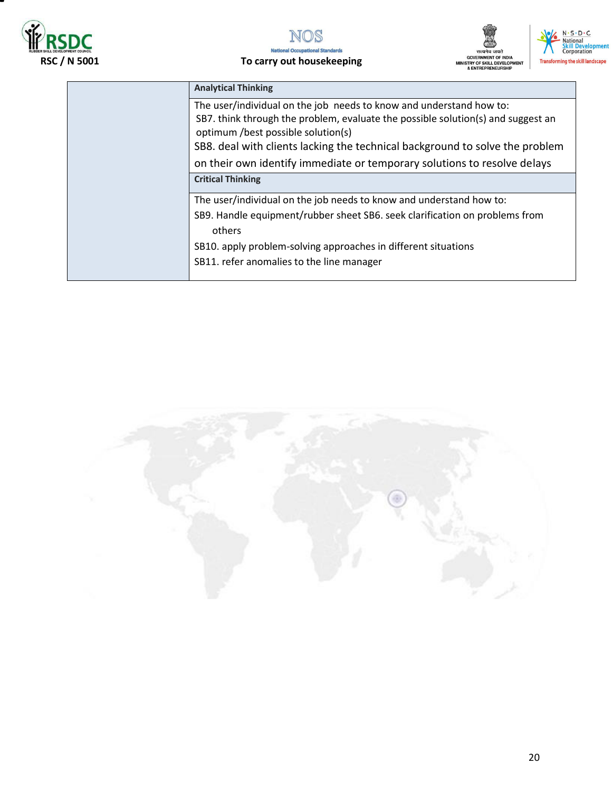







| <b>Analytical Thinking</b>                                                                                                                                                                    |
|-----------------------------------------------------------------------------------------------------------------------------------------------------------------------------------------------|
| The user/individual on the job needs to know and understand how to:<br>SB7. think through the problem, evaluate the possible solution(s) and suggest an<br>optimum /best possible solution(s) |
| SB8. deal with clients lacking the technical background to solve the problem                                                                                                                  |
| on their own identify immediate or temporary solutions to resolve delays                                                                                                                      |
| <b>Critical Thinking</b>                                                                                                                                                                      |
| The user/individual on the job needs to know and understand how to:                                                                                                                           |
| SB9. Handle equipment/rubber sheet SB6. seek clarification on problems from<br>others                                                                                                         |
| SB10. apply problem-solving approaches in different situations                                                                                                                                |
| SB11. refer anomalies to the line manager                                                                                                                                                     |
|                                                                                                                                                                                               |

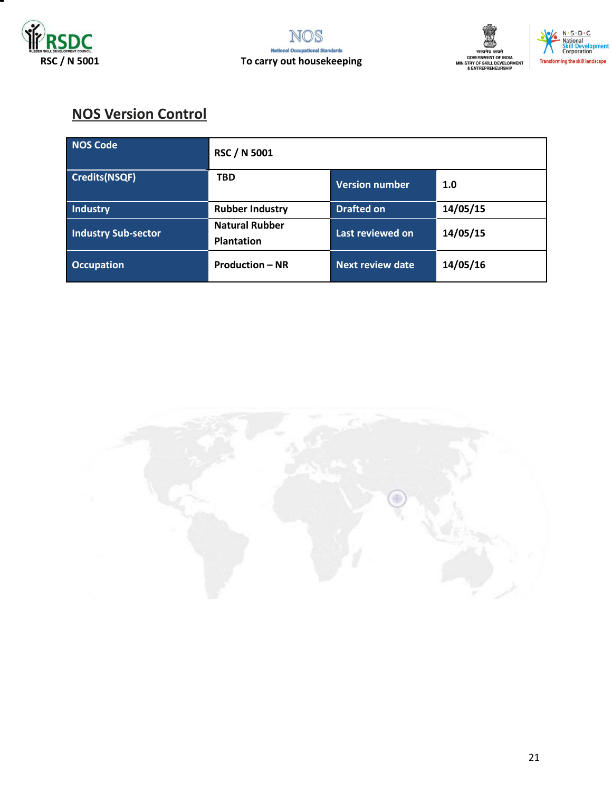







## **NOS Version Control**

| NOS Code                   | <b>RSC / N 5001</b>                        |                         |          |
|----------------------------|--------------------------------------------|-------------------------|----------|
| Credits(NSQF)              | <b>TBD</b>                                 | <b>Version number</b>   | 1.0      |
| Industry                   | <b>Rubber Industry</b>                     | <b>Drafted on</b>       | 14/05/15 |
| <b>Industry Sub-sector</b> | <b>Natural Rubber</b><br><b>Plantation</b> | Last reviewed on        | 14/05/15 |
| <b>Occupation</b>          | <b>Production - NR</b>                     | <b>Next review date</b> | 14/05/16 |

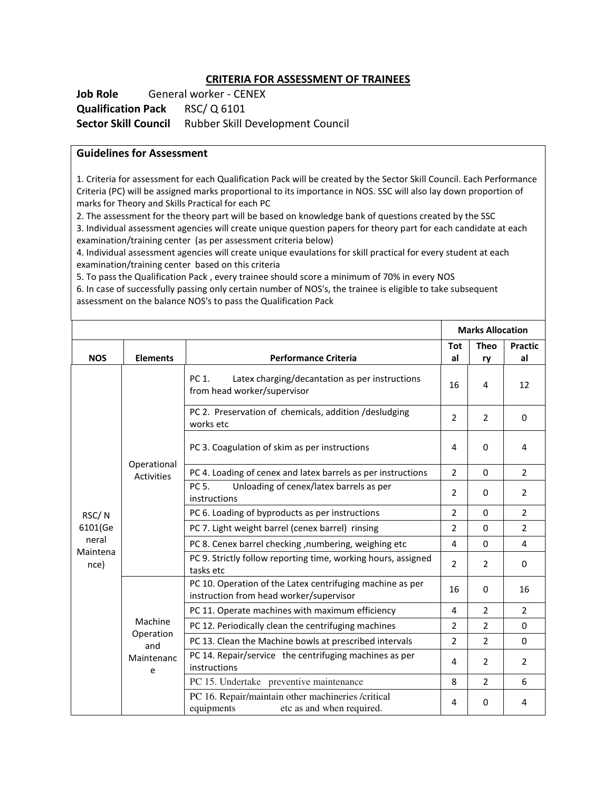#### **CRITERIA FOR ASSESSMENT OF TRAINEES**

**Job Role** General worker - CENEX **Qualification Pack** RSC/ Q 6101 **Sector Skill Council** Rubber Skill Development Council

#### **Guidelines for Assessment**

1. Criteria for assessment for each Qualification Pack will be created by the Sector Skill Council. Each Performance Criteria (PC) will be assigned marks proportional to its importance in NOS. SSC will also lay down proportion of marks for Theory and Skills Practical for each PC

2. The assessment for the theory part will be based on knowledge bank of questions created by the SSC 3. Individual assessment agencies will create unique question papers for theory part for each candidate at each

examination/training center (as per assessment criteria below) 4. Individual assessment agencies will create unique evaulations for skill practical for every student at each examination/training center based on this criteria

5. To pass the Qualification Pack , every trainee should score a minimum of 70% in every NOS 6. In case of successfully passing only certain number of NOS's, the trainee is eligible to take subsequent assessment on the balance NOS's to pass the Qualification Pack

|                  |                                  |                                                                                                      |                | <b>Marks Allocation</b> |                |
|------------------|----------------------------------|------------------------------------------------------------------------------------------------------|----------------|-------------------------|----------------|
|                  |                                  |                                                                                                      | <b>Tot</b>     | <b>Theo</b>             | <b>Practic</b> |
| <b>NOS</b>       | <b>Elements</b>                  | <b>Performance Criteria</b>                                                                          | al             | ry                      | al             |
|                  |                                  | PC 1.<br>Latex charging/decantation as per instructions<br>from head worker/supervisor               | 16             | 4                       | 12             |
|                  |                                  | PC 2. Preservation of chemicals, addition /desludging<br>works etc                                   | $\overline{2}$ | $\overline{2}$          | $\Omega$       |
|                  |                                  | PC 3. Coagulation of skim as per instructions                                                        | 4              | $\Omega$                | 4              |
|                  | Operational<br><b>Activities</b> | PC 4. Loading of cenex and latex barrels as per instructions                                         | $\overline{2}$ | $\Omega$                | $\overline{2}$ |
|                  |                                  | PC 5.<br>Unloading of cenex/latex barrels as per<br>instructions                                     | $\overline{2}$ | $\Omega$                | $\overline{2}$ |
| RSC/N            |                                  | PC 6. Loading of byproducts as per instructions                                                      | $\overline{2}$ | $\mathbf 0$             | $\overline{2}$ |
| 6101(Ge          |                                  | PC 7. Light weight barrel (cenex barrel) rinsing                                                     | 2              | $\Omega$                | $\overline{2}$ |
| neral            |                                  | PC 8. Cenex barrel checking , numbering, weighing etc                                                | $\overline{4}$ | $\Omega$                | $\overline{4}$ |
| Maintena<br>nce) |                                  | PC 9. Strictly follow reporting time, working hours, assigned<br>tasks etc                           | $\overline{2}$ | $\overline{2}$          | $\mathbf 0$    |
|                  |                                  | PC 10. Operation of the Latex centrifuging machine as per<br>instruction from head worker/supervisor | 16             | $\Omega$                | 16             |
|                  |                                  | PC 11. Operate machines with maximum efficiency                                                      | $\overline{4}$ | $\overline{2}$          | $\overline{2}$ |
|                  | Machine                          | PC 12. Periodically clean the centrifuging machines                                                  | $\overline{2}$ | $\overline{2}$          | $\Omega$       |
|                  | Operation<br>and                 | PC 13. Clean the Machine bowls at prescribed intervals                                               | 2              | $\overline{2}$          | $\mathbf 0$    |
|                  | Maintenanc<br>e                  | PC 14. Repair/service the centrifuging machines as per<br>instructions                               | 4              | $\overline{2}$          | $\overline{2}$ |
|                  |                                  | PC 15. Undertake preventive maintenance                                                              | 8              | $\overline{2}$          | 6              |
|                  |                                  | PC 16. Repair/maintain other machineries /critical<br>etc as and when required.<br>equipments        | 4              | $\Omega$                | 4              |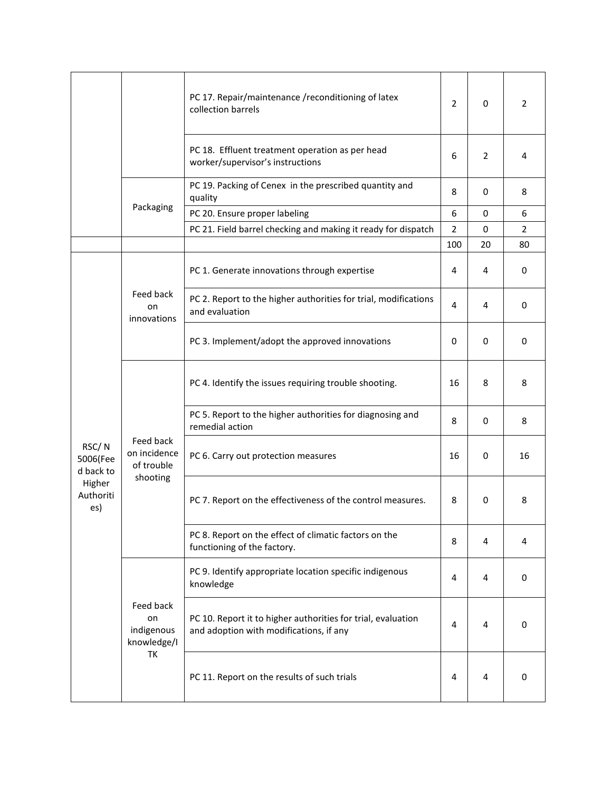|                                |                                                     | PC 17. Repair/maintenance /reconditioning of latex<br>collection barrels                                | 2              | $\mathbf 0$    | 2              |
|--------------------------------|-----------------------------------------------------|---------------------------------------------------------------------------------------------------------|----------------|----------------|----------------|
|                                |                                                     | PC 18. Effluent treatment operation as per head<br>worker/supervisor's instructions                     | 6              | $\overline{2}$ | 4              |
|                                |                                                     | PC 19. Packing of Cenex in the prescribed quantity and<br>quality                                       | 8              | $\mathbf 0$    | 8              |
|                                | Packaging                                           | PC 20. Ensure proper labeling                                                                           | 6              | $\mathbf 0$    | 6              |
|                                |                                                     | PC 21. Field barrel checking and making it ready for dispatch                                           | $\overline{2}$ | 0              | $\overline{2}$ |
|                                |                                                     |                                                                                                         | 100            | 20             | 80             |
|                                |                                                     | PC 1. Generate innovations through expertise                                                            | 4              | 4              | $\mathbf 0$    |
|                                | Feed back<br>on<br>innovations                      | PC 2. Report to the higher authorities for trial, modifications<br>and evaluation                       | $\overline{4}$ | 4              | $\mathbf 0$    |
|                                |                                                     | PC 3. Implement/adopt the approved innovations                                                          | 0              | 0              | $\mathbf 0$    |
|                                | Feed back<br>on incidence<br>of trouble<br>shooting | PC 4. Identify the issues requiring trouble shooting.                                                   | 16             | 8              | 8              |
|                                |                                                     | PC 5. Report to the higher authorities for diagnosing and<br>remedial action                            | 8              | $\mathbf 0$    | 8              |
| RSC/N<br>5006(Fee<br>d back to |                                                     | PC 6. Carry out protection measures                                                                     | 16             | $\mathbf 0$    | 16             |
| Higher<br>Authoriti<br>es)     |                                                     | PC 7. Report on the effectiveness of the control measures.                                              | 8              | 0              | 8              |
|                                |                                                     | PC 8. Report on the effect of climatic factors on the<br>functioning of the factory.                    | 8              | 4              | 4              |
|                                | Feed back<br>on<br>indigenous<br>knowledge/I<br>TK  | PC 9. Identify appropriate location specific indigenous<br>knowledge                                    | 4              | 4              | 0              |
|                                |                                                     | PC 10. Report it to higher authorities for trial, evaluation<br>and adoption with modifications, if any | 4              | 4              | 0              |
|                                |                                                     | PC 11. Report on the results of such trials                                                             | 4              | 4              | 0              |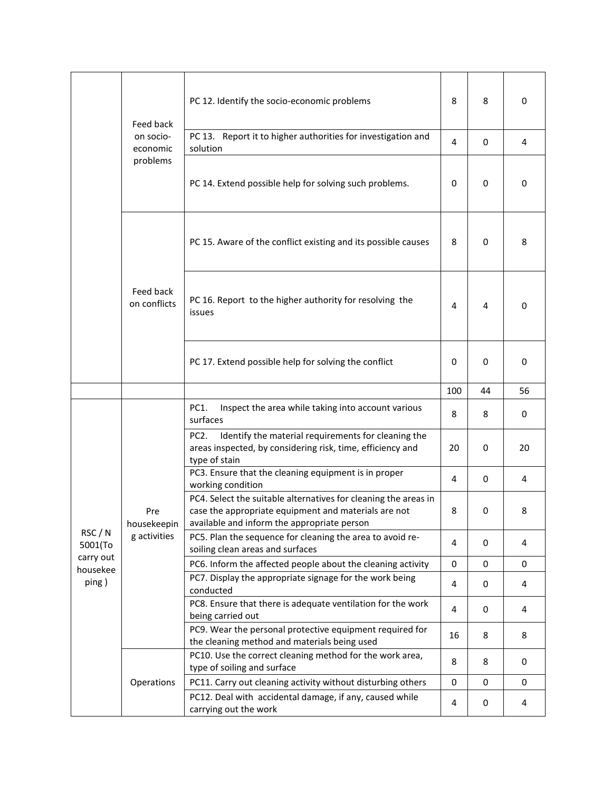|                    | Feed back                          | PC 12. Identify the socio-economic problems                                                                                                                            | 8           | 8           | $\mathbf 0$ |
|--------------------|------------------------------------|------------------------------------------------------------------------------------------------------------------------------------------------------------------------|-------------|-------------|-------------|
|                    | on socio-<br>economic              | PC 13. Report it to higher authorities for investigation and<br>solution                                                                                               | 4           | $\mathbf 0$ | 4           |
|                    | problems                           | PC 14. Extend possible help for solving such problems.                                                                                                                 | 0           | $\mathbf 0$ | $\mathbf 0$ |
|                    |                                    | PC 15. Aware of the conflict existing and its possible causes                                                                                                          | 8           | 0           | 8           |
|                    | Feed back<br>on conflicts          | PC 16. Report to the higher authority for resolving the<br>issues                                                                                                      | 4           | 4           | $\mathbf 0$ |
|                    |                                    | PC 17. Extend possible help for solving the conflict                                                                                                                   | 0           | 0           | 0           |
|                    |                                    |                                                                                                                                                                        | 100         | 44          | 56          |
|                    | Pre<br>housekeepin<br>g activities | PC1.<br>Inspect the area while taking into account various<br>surfaces                                                                                                 | 8           | 8           | 0           |
|                    |                                    | Identify the material requirements for cleaning the<br>PC <sub>2</sub><br>areas inspected, by considering risk, time, efficiency and<br>type of stain                  | 20          | 0           | 20          |
|                    |                                    | PC3. Ensure that the cleaning equipment is in proper<br>working condition                                                                                              | 4           | 0           | 4           |
|                    |                                    | PC4. Select the suitable alternatives for cleaning the areas in<br>case the appropriate equipment and materials are not<br>available and inform the appropriate person | 8           | 0           | 8           |
| RSC / N<br>5001(To |                                    | PC5. Plan the sequence for cleaning the area to avoid re-<br>soiling clean areas and surfaces                                                                          | 4           | 0           | 4           |
| carry out          |                                    | PC6. Inform the affected people about the cleaning activity                                                                                                            | 0           | 0           | $\mathbf 0$ |
| housekee<br>ping)  |                                    | PC7. Display the appropriate signage for the work being<br>conducted                                                                                                   | 4           | 0           | 4           |
|                    |                                    | PC8. Ensure that there is adequate ventilation for the work<br>being carried out                                                                                       | 4           | 0           | 4           |
|                    |                                    | PC9. Wear the personal protective equipment required for<br>the cleaning method and materials being used                                                               | 16          | 8           | 8           |
|                    |                                    | PC10. Use the correct cleaning method for the work area,<br>type of soiling and surface                                                                                | 8           | 8           | 0           |
|                    | Operations                         | PC11. Carry out cleaning activity without disturbing others                                                                                                            | $\mathbf 0$ | 0           | 0           |
|                    |                                    | PC12. Deal with accidental damage, if any, caused while<br>carrying out the work                                                                                       | 4           | 0           | 4           |